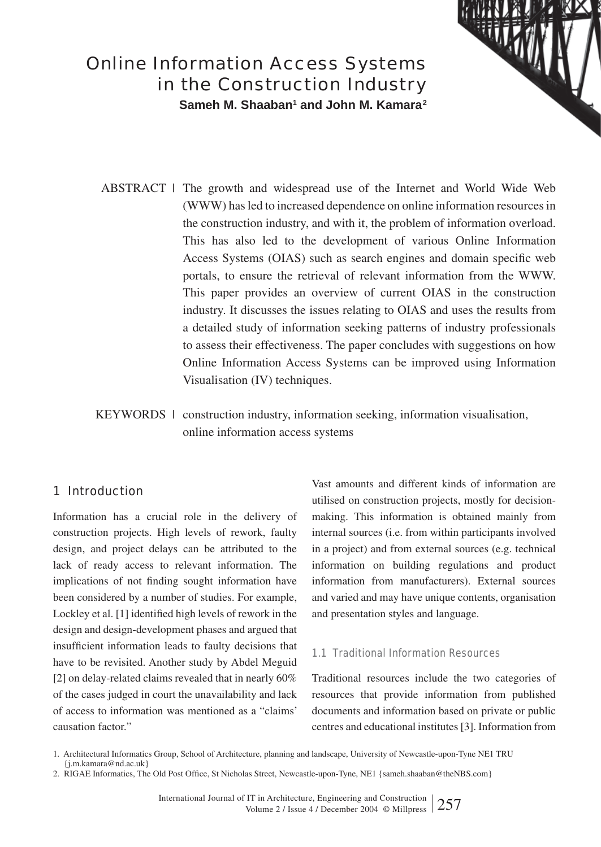# Online Information Access Systems in the Construction Industry

**Sameh M. Shaaban1 and John M. Kamara2**

 $ABSTRACT$  | The growth and widespread use of the Internet and World Wide Web (WWW) has led to increased dependence on online information resources in the construction industry, and with it, the problem of information overload. This has also led to the development of various Online Information Access Systems (OIAS) such as search engines and domain specific web portals, to ensure the retrieval of relevant information from the WWW. This paper provides an overview of current OIAS in the construction industry. It discusses the issues relating to OIAS and uses the results from a detailed study of information seeking patterns of industry professionals to assess their effectiveness. The paper concludes with suggestions on how Online Information Access Systems can be improved using Information Visualisation (IV) techniques.

KEYWORDS | construction industry, information seeking, information visualisation, online information access systems

# 1 Introduction

Information has a crucial role in the delivery of construction projects. High levels of rework, faulty design, and project delays can be attributed to the lack of ready access to relevant information. The implications of not finding sought information have been considered by a number of studies. For example, Lockley et al.  $[1]$  identified high levels of rework in the design and design-development phases and argued that insufficient information leads to faulty decisions that have to be revisited. Another study by Abdel Meguid [2] on delay-related claims revealed that in nearly 60% of the cases judged in court the unavailability and lack of access to information was mentioned as a "claims' causation factor."

Vast amounts and different kinds of information are utilised on construction projects, mostly for decisionmaking. This information is obtained mainly from internal sources (i.e. from within participants involved in a project) and from external sources (e.g. technical information on building regulations and product information from manufacturers). External sources and varied and may have unique contents, organisation and presentation styles and language.

## 1.1 Traditional Information Resources

Traditional resources include the two categories of resources that provide information from published documents and information based on private or public centres and educational institutes [3]. Information from

<sup>1.</sup> Architectural Informatics Group, School of Architecture, planning and landscape, University of Newcastle-upon-Tyne NE1 TRU {j.m.kamara@nd.ac.uk}

<sup>2.</sup> RIGAE Informatics, The Old Post Office, St Nicholas Street, Newcastle-upon-Tyne, NE1 {sameh.shaaban@theNBS.com}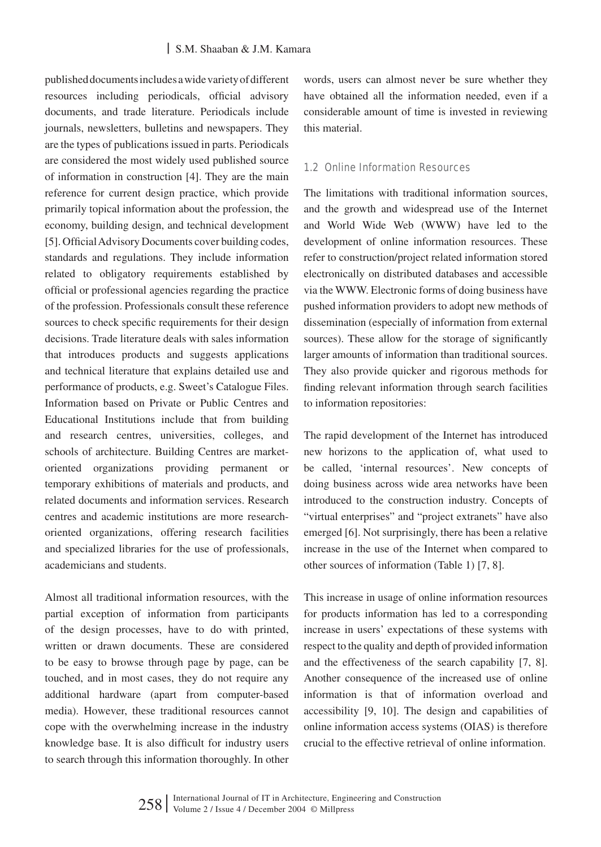published documents includes a wide variety of different resources including periodicals, official advisory documents, and trade literature. Periodicals include journals, newsletters, bulletins and newspapers. They are the types of publications issued in parts. Periodicals are considered the most widely used published source of information in construction [4]. They are the main reference for current design practice, which provide primarily topical information about the profession, the economy, building design, and technical development [5]. Official Advisory Documents cover building codes, standards and regulations. They include information related to obligatory requirements established by official or professional agencies regarding the practice of the profession. Professionals consult these reference sources to check specific requirements for their design decisions. Trade literature deals with sales information that introduces products and suggests applications and technical literature that explains detailed use and performance of products, e.g. Sweet's Catalogue Files. Information based on Private or Public Centres and Educational Institutions include that from building and research centres, universities, colleges, and schools of architecture. Building Centres are marketoriented organizations providing permanent or temporary exhibitions of materials and products, and related documents and information services. Research centres and academic institutions are more researchoriented organizations, offering research facilities and specialized libraries for the use of professionals, academicians and students.

Almost all traditional information resources, with the partial exception of information from participants of the design processes, have to do with printed, written or drawn documents. These are considered to be easy to browse through page by page, can be touched, and in most cases, they do not require any additional hardware (apart from computer-based media). However, these traditional resources cannot cope with the overwhelming increase in the industry knowledge base. It is also difficult for industry users to search through this information thoroughly. In other

words, users can almost never be sure whether they have obtained all the information needed, even if a considerable amount of time is invested in reviewing this material.

## 1.2 Online Information Resources

The limitations with traditional information sources, and the growth and widespread use of the Internet and World Wide Web (WWW) have led to the development of online information resources. These refer to construction/project related information stored electronically on distributed databases and accessible via the WWW. Electronic forms of doing business have pushed information providers to adopt new methods of dissemination (especially of information from external sources). These allow for the storage of significantly larger amounts of information than traditional sources. They also provide quicker and rigorous methods for finding relevant information through search facilities to information repositories:

The rapid development of the Internet has introduced new horizons to the application of, what used to be called, 'internal resources'. New concepts of doing business across wide area networks have been introduced to the construction industry. Concepts of "virtual enterprises" and "project extranets" have also emerged [6]. Not surprisingly, there has been a relative increase in the use of the Internet when compared to other sources of information (Table 1) [7, 8].

This increase in usage of online information resources for products information has led to a corresponding increase in users' expectations of these systems with respect to the quality and depth of provided information and the effectiveness of the search capability [7, 8]. Another consequence of the increased use of online information is that of information overload and accessibility [9, 10]. The design and capabilities of online information access systems (OIAS) is therefore crucial to the effective retrieval of online information.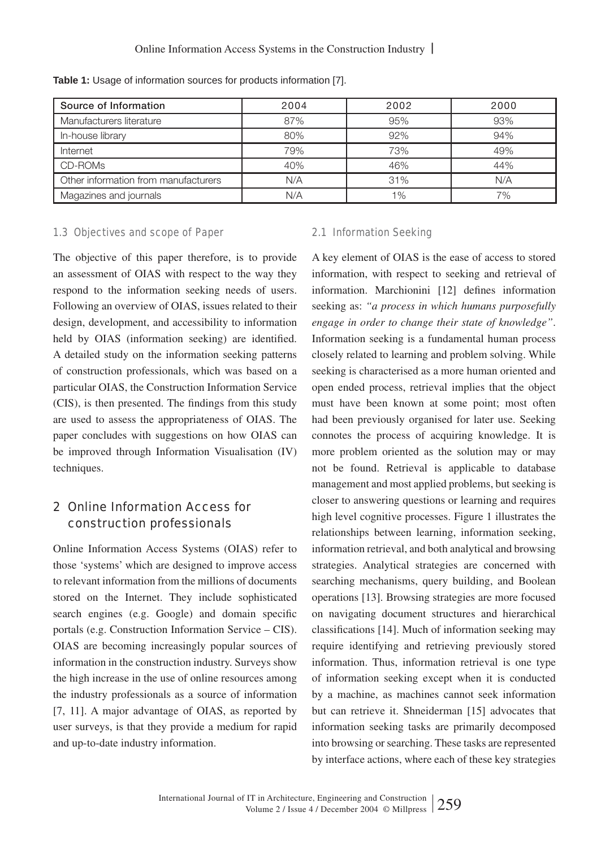| Source of Information                | 2004 | 2002  | 2000 |
|--------------------------------------|------|-------|------|
| Manufacturers literature             | 87%  | 95%   | 93%  |
| In-house library                     | 80%  | 92%   | 94%  |
| Internet                             | 79%  | 73%   | 49%  |
| CD-ROMs                              | 40%  | 46%   | 44%  |
| Other information from manufacturers | N/A  | 31%   | N/A  |
| Magazines and journals               | N/A  | $1\%$ | 7%   |

**Table 1:** Usage of information sources for products information [7].

## 1.3 Objectives and scope of Paper

The objective of this paper therefore, is to provide an assessment of OIAS with respect to the way they respond to the information seeking needs of users. Following an overview of OIAS, issues related to their design, development, and accessibility to information held by OIAS (information seeking) are identified. A detailed study on the information seeking patterns of construction professionals, which was based on a particular OIAS, the Construction Information Service (CIS), is then presented. The findings from this study are used to assess the appropriateness of OIAS. The paper concludes with suggestions on how OIAS can be improved through Information Visualisation (IV) techniques.

# 2 Online Information Access for construction professionals

Online Information Access Systems (OIAS) refer to those 'systems' which are designed to improve access to relevant information from the millions of documents stored on the Internet. They include sophisticated search engines (e.g. Google) and domain specific portals (e.g. Construction Information Service – CIS). OIAS are becoming increasingly popular sources of information in the construction industry. Surveys show the high increase in the use of online resources among the industry professionals as a source of information [7, 11]. A major advantage of OIAS, as reported by user surveys, is that they provide a medium for rapid and up-to-date industry information.

## 2.1 Information Seeking

A key element of OIAS is the ease of access to stored information, with respect to seeking and retrieval of information. Marchionini [12] defines information seeking as: *"a process in which humans purposefully engage in order to change their state of knowledge"*. Information seeking is a fundamental human process closely related to learning and problem solving. While seeking is characterised as a more human oriented and open ended process, retrieval implies that the object must have been known at some point; most often had been previously organised for later use. Seeking connotes the process of acquiring knowledge. It is more problem oriented as the solution may or may not be found. Retrieval is applicable to database management and most applied problems, but seeking is closer to answering questions or learning and requires high level cognitive processes. Figure 1 illustrates the relationships between learning, information seeking, information retrieval, and both analytical and browsing strategies. Analytical strategies are concerned with searching mechanisms, query building, and Boolean operations [13]. Browsing strategies are more focused on navigating document structures and hierarchical classifications [14]. Much of information seeking may require identifying and retrieving previously stored information. Thus, information retrieval is one type of information seeking except when it is conducted by a machine, as machines cannot seek information but can retrieve it. Shneiderman [15] advocates that information seeking tasks are primarily decomposed into browsing or searching. These tasks are represented by interface actions, where each of these key strategies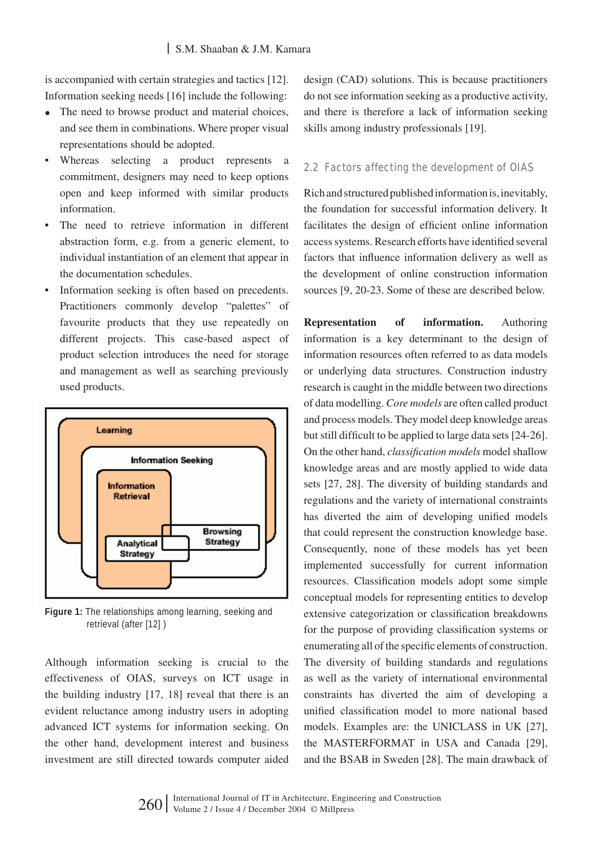is accompanied with certain strategies and tactics [12]. Information seeking needs [16] include the following:

- The need to browse product and material choices, and see them in combinations. Where proper visual representations should be adopted.
- Whereas selecting a product represents a commitment, designers may need to keep options open and keep informed with similar products information.
- The need to retrieve information in different abstraction form, e.g. from a generic element, to individual instantiation of an element that appear in the documentation schedules.
- Information seeking is often based on precedents. Practitioners commonly develop "palettes" of favourite products that they use repeatedly on different projects. This case-based aspect of product selection introduces the need for storage and management as well as searching previously used products.



**Figure 1:** The relationships among learning, seeking and retrieval (after [12] )

Although information seeking is crucial to the effectiveness of OIAS, surveys on ICT usage in the building industry [17, 18] reveal that there is an evident reluctance among industry users in adopting advanced ICT systems for information seeking. On the other hand, development interest and business investment are still directed towards computer aided

design (CAD) solutions. This is because practitioners do not see information seeking as a productive activity, and there is therefore a lack of information seeking skills among industry professionals [19].

## 2.2 Factors affecting the development of OIAS

Rich and structured published information is, inevitably, the foundation for successful information delivery. It facilitates the design of efficient online information access systems. Research efforts have identified several factors that influence information delivery as well as the development of online construction information sources [9, 20-23. Some of these are described below.

**Representation of information.** Authoring information is a key determinant to the design of information resources often referred to as data models or underlying data structures. Construction industry research is caught in the middle between two directions of data modelling. *Core models* are often called product and process models. They model deep knowledge areas but still difficult to be applied to large data sets [24-26]. On the other hand, *classification models* model shallow knowledge areas and are mostly applied to wide data sets [27, 28]. The diversity of building standards and regulations and the variety of international constraints has diverted the aim of developing unified models that could represent the construction knowledge base. Consequently, none of these models has yet been implemented successfully for current information resources. Classification models adopt some simple conceptual models for representing entities to develop extensive categorization or classification breakdowns for the purpose of providing classification systems or enumerating all of the specific elements of construction. The diversity of building standards and regulations as well as the variety of international environmental constraints has diverted the aim of developing a unified classification model to more national based models. Examples are: the UNICLASS in UK [27], the MASTERFORMAT in USA and Canada [29], and the BSAB in Sweden [28]. The main drawback of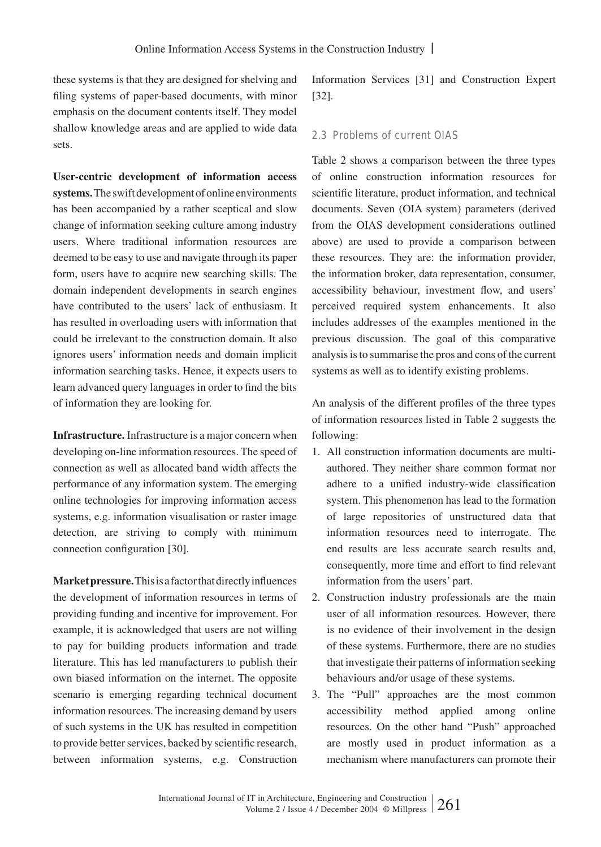these systems is that they are designed for shelving and filing systems of paper-based documents, with minor emphasis on the document contents itself. They model shallow knowledge areas and are applied to wide data sets.

**User-centric development of information access systems.** The swift development of online environments has been accompanied by a rather sceptical and slow change of information seeking culture among industry users. Where traditional information resources are deemed to be easy to use and navigate through its paper form, users have to acquire new searching skills. The domain independent developments in search engines have contributed to the users' lack of enthusiasm. It has resulted in overloading users with information that could be irrelevant to the construction domain. It also ignores users' information needs and domain implicit information searching tasks. Hence, it expects users to learn advanced query languages in order to find the bits of information they are looking for.

**Infrastructure.** Infrastructure is a major concern when developing on-line information resources. The speed of connection as well as allocated band width affects the performance of any information system. The emerging online technologies for improving information access systems, e.g. information visualisation or raster image detection, are striving to comply with minimum connection configuration [30].

**Market pressure.** This is a factor that directly influences the development of information resources in terms of providing funding and incentive for improvement. For example, it is acknowledged that users are not willing to pay for building products information and trade literature. This has led manufacturers to publish their own biased information on the internet. The opposite scenario is emerging regarding technical document information resources. The increasing demand by users of such systems in the UK has resulted in competition to provide better services, backed by scientific research, between information systems, e.g. Construction

Information Services [31] and Construction Expert [32].

## 2.3 Problems of current OIAS

Table 2 shows a comparison between the three types of online construction information resources for scientific literature, product information, and technical documents. Seven (OIA system) parameters (derived from the OIAS development considerations outlined above) are used to provide a comparison between these resources. They are: the information provider, the information broker, data representation, consumer, accessibility behaviour, investment flow, and users' perceived required system enhancements. It also includes addresses of the examples mentioned in the previous discussion. The goal of this comparative analysis is to summarise the pros and cons of the current systems as well as to identify existing problems.

An analysis of the different profiles of the three types of information resources listed in Table 2 suggests the following:

- 1. All construction information documents are multiauthored. They neither share common format nor adhere to a unified industry-wide classification system. This phenomenon has lead to the formation of large repositories of unstructured data that information resources need to interrogate. The end results are less accurate search results and, consequently, more time and effort to find relevant information from the users' part.
- 2. Construction industry professionals are the main user of all information resources. However, there is no evidence of their involvement in the design of these systems. Furthermore, there are no studies that investigate their patterns of information seeking behaviours and/or usage of these systems.
- 3. The "Pull" approaches are the most common accessibility method applied among online resources. On the other hand "Push" approached are mostly used in product information as a mechanism where manufacturers can promote their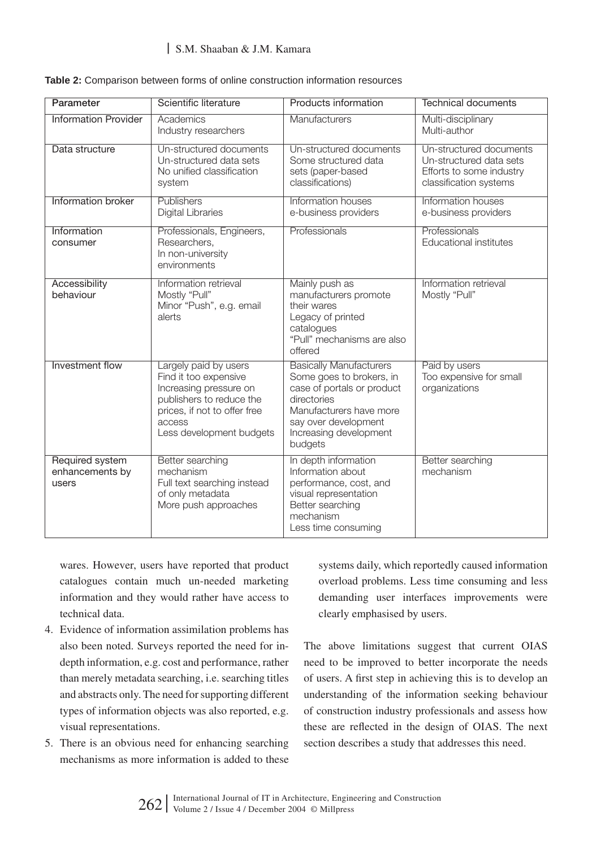## | S.M. Shaaban & J.M. Kamara

| Parameter                                   | Scientific literature                                                                                                                                                      | Products information                                                                                                                                                                            | Technical documents                                                                                      |
|---------------------------------------------|----------------------------------------------------------------------------------------------------------------------------------------------------------------------------|-------------------------------------------------------------------------------------------------------------------------------------------------------------------------------------------------|----------------------------------------------------------------------------------------------------------|
| <b>Information Provider</b>                 | Academics<br>Industry researchers                                                                                                                                          | Manufacturers                                                                                                                                                                                   | Multi-disciplinary<br>Multi-author                                                                       |
| Data structure                              | Un-structured documents<br>Un-structured data sets<br>No unified classification<br>system                                                                                  | Un-structured documents<br>Some structured data<br>sets (paper-based<br>classifications)                                                                                                        | Un-structured documents<br>Un-structured data sets<br>Efforts to some industry<br>classification systems |
| Information broker                          | Publishers<br><b>Digital Libraries</b>                                                                                                                                     | Information houses<br>e-business providers                                                                                                                                                      | Information houses<br>e-business providers                                                               |
| Information<br>consumer                     | Professionals, Engineers,<br>Researchers,<br>In non-university<br>environments                                                                                             | Professionals                                                                                                                                                                                   | Professionals<br>Educational institutes                                                                  |
| Accessibility<br>behaviour                  | Information retrieval<br>Mostly "Pull"<br>Minor "Push", e.g. email<br>alerts                                                                                               | Mainly push as<br>manufacturers promote<br>their wares<br>Legacy of printed<br>catalogues<br>"Pull" mechanisms are also<br>offered                                                              | Information retrieval<br>Mostly "Pull"                                                                   |
| Investment flow                             | Largely paid by users<br>Find it too expensive<br>Increasing pressure on<br>publishers to reduce the<br>prices, if not to offer free<br>access<br>Less development budgets | <b>Basically Manufacturers</b><br>Some goes to brokers, in<br>case of portals or product<br>directories<br>Manufacturers have more<br>say over development<br>Increasing development<br>budgets | Paid by users<br>Too expensive for small<br>organizations                                                |
| Required system<br>enhancements by<br>users | Better searching<br>mechanism<br>Full text searching instead<br>of only metadata<br>More push approaches                                                                   | In depth information<br>Information about<br>performance, cost, and<br>visual representation<br>Better searching<br>mechanism<br>Less time consuming                                            | Better searching<br>mechanism                                                                            |

|  |  |  |  |  |  | Table 2: Comparison between forms of online construction information resources |  |
|--|--|--|--|--|--|--------------------------------------------------------------------------------|--|
|--|--|--|--|--|--|--------------------------------------------------------------------------------|--|

wares. However, users have reported that product catalogues contain much un-needed marketing information and they would rather have access to technical data.

- 4. Evidence of information assimilation problems has also been noted. Surveys reported the need for indepth information, e.g. cost and performance, rather than merely metadata searching, i.e. searching titles and abstracts only. The need for supporting different types of information objects was also reported, e.g. visual representations.
- 5. There is an obvious need for enhancing searching mechanisms as more information is added to these

systems daily, which reportedly caused information overload problems. Less time consuming and less demanding user interfaces improvements were clearly emphasised by users.

The above limitations suggest that current OIAS need to be improved to better incorporate the needs of users. A first step in achieving this is to develop an understanding of the information seeking behaviour of construction industry professionals and assess how these are reflected in the design of OIAS. The next section describes a study that addresses this need.

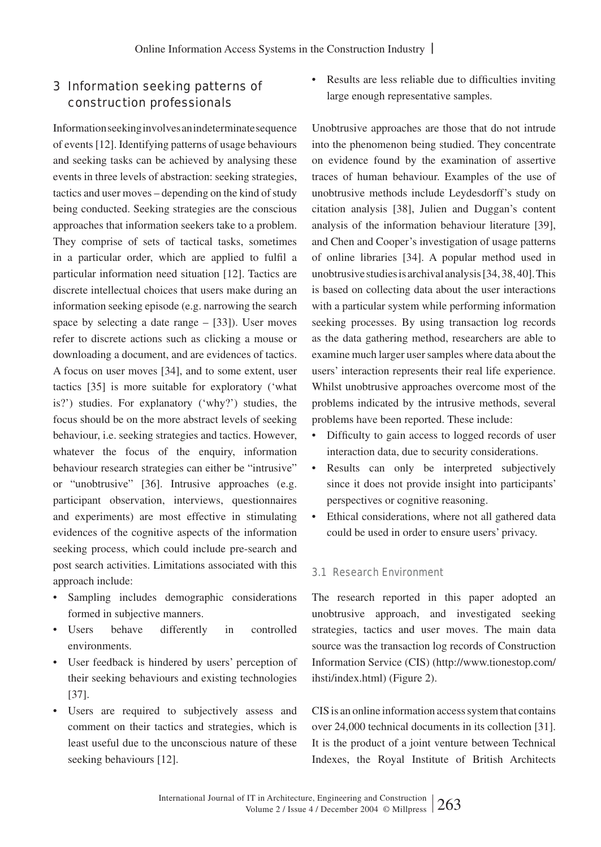# 3 Information seeking patterns of construction professionals

Information seeking involves an indeterminate sequence of events [12]. Identifying patterns of usage behaviours and seeking tasks can be achieved by analysing these events in three levels of abstraction: seeking strategies, tactics and user moves – depending on the kind of study being conducted. Seeking strategies are the conscious approaches that information seekers take to a problem. They comprise of sets of tactical tasks, sometimes in a particular order, which are applied to fulfil a particular information need situation [12]. Tactics are discrete intellectual choices that users make during an information seeking episode (e.g. narrowing the search space by selecting a date range  $-$  [33]). User moves refer to discrete actions such as clicking a mouse or downloading a document, and are evidences of tactics. A focus on user moves [34], and to some extent, user tactics [35] is more suitable for exploratory ('what is?') studies. For explanatory ('why?') studies, the focus should be on the more abstract levels of seeking behaviour, i.e. seeking strategies and tactics. However, whatever the focus of the enquiry, information behaviour research strategies can either be "intrusive" or "unobtrusive" [36]. Intrusive approaches (e.g. participant observation, interviews, questionnaires and experiments) are most effective in stimulating evidences of the cognitive aspects of the information seeking process, which could include pre-search and post search activities. Limitations associated with this approach include:

- Sampling includes demographic considerations formed in subjective manners.
- Users behave differently in controlled environments.
- User feedback is hindered by users' perception of their seeking behaviours and existing technologies [37].
- Users are required to subjectively assess and comment on their tactics and strategies, which is least useful due to the unconscious nature of these seeking behaviours [12].

• Results are less reliable due to difficulties inviting large enough representative samples.

Unobtrusive approaches are those that do not intrude into the phenomenon being studied. They concentrate on evidence found by the examination of assertive traces of human behaviour. Examples of the use of unobtrusive methods include Leydesdorff's study on citation analysis [38], Julien and Duggan's content analysis of the information behaviour literature [39], and Chen and Cooper's investigation of usage patterns of online libraries [34]. A popular method used in unobtrusive studies is archival analysis [34, 38, 40]. This is based on collecting data about the user interactions with a particular system while performing information seeking processes. By using transaction log records as the data gathering method, researchers are able to examine much larger user samples where data about the users' interaction represents their real life experience. Whilst unobtrusive approaches overcome most of the problems indicated by the intrusive methods, several problems have been reported. These include:

- Difficulty to gain access to logged records of user interaction data, due to security considerations.
- Results can only be interpreted subjectively since it does not provide insight into participants' perspectives or cognitive reasoning.
- Ethical considerations, where not all gathered data could be used in order to ensure users' privacy.

## 3.1 Research Environment

The research reported in this paper adopted an unobtrusive approach, and investigated seeking strategies, tactics and user moves. The main data source was the transaction log records of Construction Information Service (CIS) (http://www.tionestop.com/ ihsti/index.html) (Figure 2).

CIS is an online information access system that contains over 24,000 technical documents in its collection [31]. It is the product of a joint venture between Technical Indexes, the Royal Institute of British Architects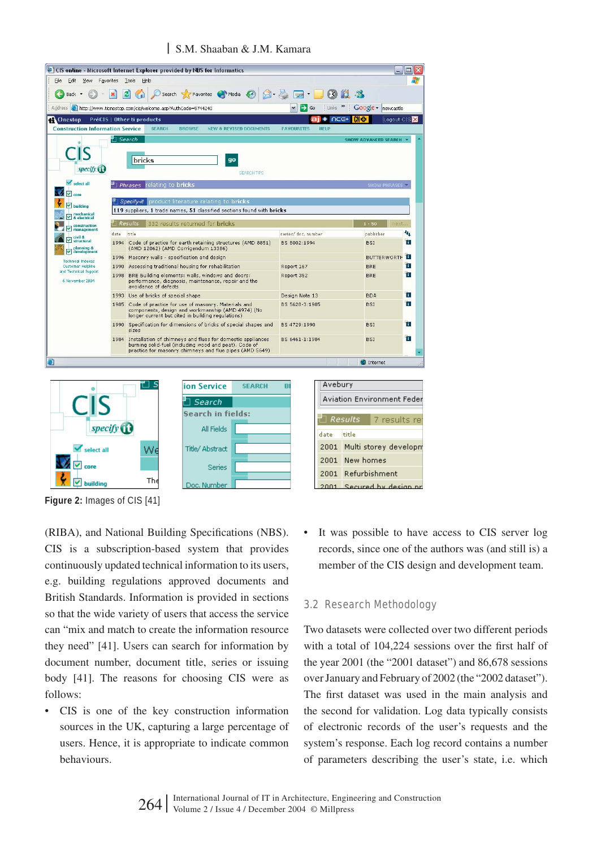

.<br>Hilding **Figure 2:** Images of CIS [41]

ाज

(RIBA), and National Building Specifications (NBS). CIS is a subscription-based system that provides continuously updated technical information to its users, e.g. building regulations approved documents and British Standards. Information is provided in sections so that the wide variety of users that access the service can "mix and match to create the information resource they need" [41]. Users can search for information by document number, document title, series or issuing body [41]. The reasons for choosing CIS were as follows:

**Th** 

ic. Numb

• CIS is one of the key construction information sources in the UK, capturing a large percentage of users. Hence, it is appropriate to indicate common behaviours.

It was possible to have access to CIS server log records, since one of the authors was (and still is) a member of the CIS design and development team.

## 3.2 Research Methodology

 $2001$  Required by de

Two datasets were collected over two different periods with a total of 104,224 sessions over the first half of the year 2001 (the "2001 dataset") and 86,678 sessions over January and February of 2002 (the "2002 dataset"). The first dataset was used in the main analysis and the second for validation. Log data typically consists of electronic records of the user's requests and the system's response. Each log record contains a number of parameters describing the user's state, i.e. which

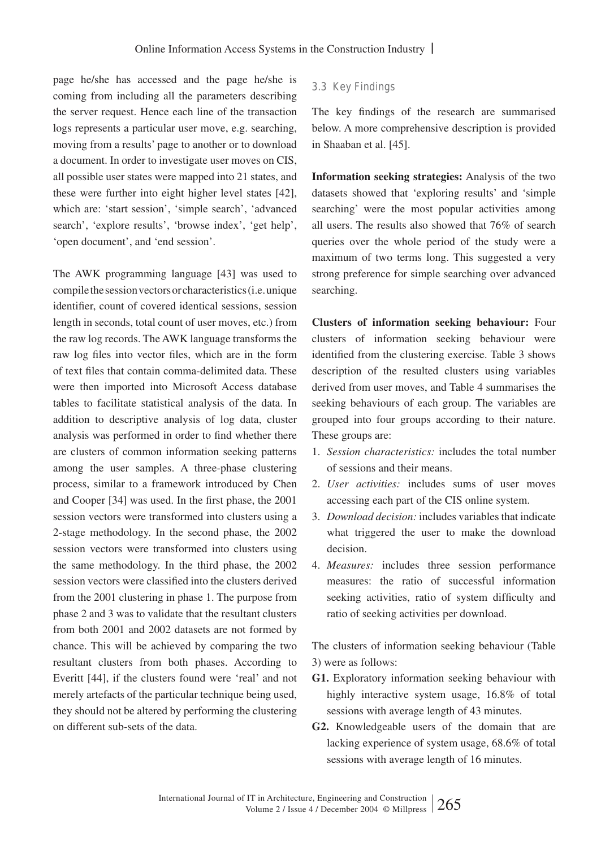page he/she has accessed and the page he/she is coming from including all the parameters describing the server request. Hence each line of the transaction logs represents a particular user move, e.g. searching, moving from a results' page to another or to download a document. In order to investigate user moves on CIS, all possible user states were mapped into 21 states, and these were further into eight higher level states [42], which are: 'start session', 'simple search', 'advanced search', 'explore results', 'browse index', 'get help', 'open document', and 'end session'.

The AWK programming language [43] was used to compile the session vectors or characteristics (i.e. unique identifier, count of covered identical sessions, session length in seconds, total count of user moves, etc.) from the raw log records. The AWK language transforms the raw log files into vector files, which are in the form of text files that contain comma-delimited data. These were then imported into Microsoft Access database tables to facilitate statistical analysis of the data. In addition to descriptive analysis of log data, cluster analysis was performed in order to find whether there are clusters of common information seeking patterns among the user samples. A three-phase clustering process, similar to a framework introduced by Chen and Cooper [34] was used. In the first phase, the 2001 session vectors were transformed into clusters using a 2-stage methodology. In the second phase, the 2002 session vectors were transformed into clusters using the same methodology. In the third phase, the 2002 session vectors were classified into the clusters derived from the 2001 clustering in phase 1. The purpose from phase 2 and 3 was to validate that the resultant clusters from both 2001 and 2002 datasets are not formed by chance. This will be achieved by comparing the two resultant clusters from both phases. According to Everitt [44], if the clusters found were 'real' and not merely artefacts of the particular technique being used, they should not be altered by performing the clustering on different sub-sets of the data.

## 3.3 Key Findings

The key findings of the research are summarised below. A more comprehensive description is provided in Shaaban et al. [45].

**Information seeking strategies:** Analysis of the two datasets showed that 'exploring results' and 'simple searching' were the most popular activities among all users. The results also showed that 76% of search queries over the whole period of the study were a maximum of two terms long. This suggested a very strong preference for simple searching over advanced searching.

**Clusters of information seeking behaviour:** Four clusters of information seeking behaviour were identified from the clustering exercise. Table 3 shows description of the resulted clusters using variables derived from user moves, and Table 4 summarises the seeking behaviours of each group. The variables are grouped into four groups according to their nature. These groups are:

- 1. *Session characteristics:* includes the total number of sessions and their means.
- 2. *User activities:* includes sums of user moves accessing each part of the CIS online system.
- 3. *Download decision:* includes variables that indicate what triggered the user to make the download decision.
- 4. *Measures:* includes three session performance measures: the ratio of successful information seeking activities, ratio of system difficulty and ratio of seeking activities per download.

The clusters of information seeking behaviour (Table 3) were as follows:

- **G1.** Exploratory information seeking behaviour with highly interactive system usage, 16.8% of total sessions with average length of 43 minutes.
- **G2.** Knowledgeable users of the domain that are lacking experience of system usage, 68.6% of total sessions with average length of 16 minutes.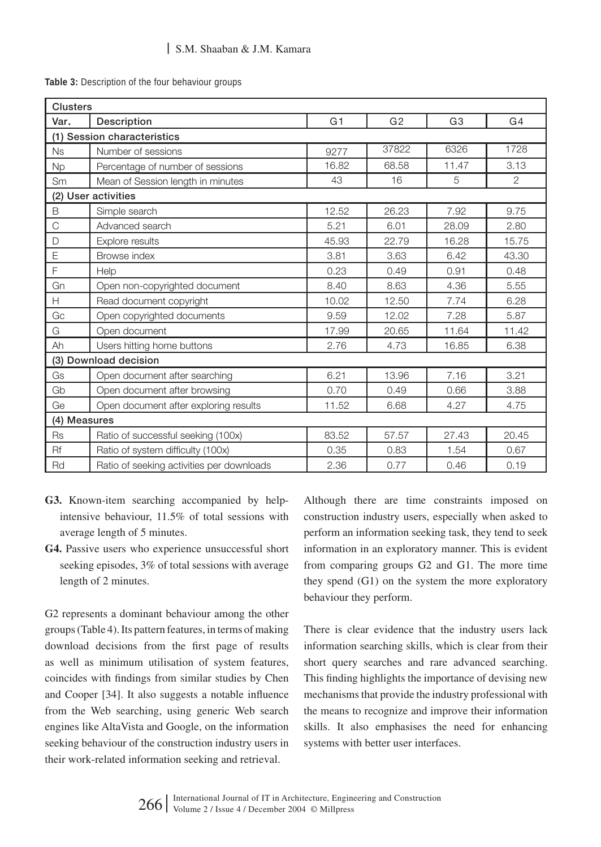Table 3: Description of the four behaviour groups

| <b>Clusters</b> |                                           |                |                |                |                |  |  |
|-----------------|-------------------------------------------|----------------|----------------|----------------|----------------|--|--|
| Var.            | Description                               | G <sub>1</sub> | G <sub>2</sub> | G <sub>3</sub> | G4             |  |  |
|                 | (1) Session characteristics               |                |                |                |                |  |  |
| <b>Ns</b>       | Number of sessions                        | 9277           | 37822          | 6326           | 1728           |  |  |
| <b>Np</b>       | Percentage of number of sessions          | 16.82          | 68.58          | 11.47          | 3.13           |  |  |
| Sm              | Mean of Session length in minutes         | 43             | 16             | 5              | $\overline{2}$ |  |  |
|                 | (2) User activities                       |                |                |                |                |  |  |
| B               | Simple search                             | 12.52          | 26.23          | 7.92           | 9.75           |  |  |
| C               | Advanced search                           | 5.21           | 6.01           | 28.09          | 2.80           |  |  |
| D               | <b>Explore results</b>                    | 45.93          | 22.79          | 16.28          | 15.75          |  |  |
| E               | Browse index                              | 3.81           | 3.63           | 6.42           | 43.30          |  |  |
| F               | Help                                      | 0.23           | 0.49           | 0.91           | 0.48           |  |  |
| Gn              | Open non-copyrighted document             | 8.40           | 8.63           | 4.36           | 5.55           |  |  |
| H               | Read document copyright                   | 10.02          | 12.50          | 7.74           | 6.28           |  |  |
| Gc              | Open copyrighted documents                | 9.59           | 12.02          | 7.28           | 5.87           |  |  |
| G               | Open document                             | 17.99          | 20.65          | 11.64          | 11.42          |  |  |
| Ah              | Users hitting home buttons                | 2.76           | 4.73           | 16.85          | 6.38           |  |  |
|                 | (3) Download decision                     |                |                |                |                |  |  |
| Gs              | Open document after searching             | 6.21           | 13.96          | 7.16           | 3.21           |  |  |
| Gb              | Open document after browsing              | 0.70           | 0.49           | 0.66           | 3.88           |  |  |
| Ge              | Open document after exploring results     | 11.52          | 6.68           | 4.27           | 4.75           |  |  |
| (4) Measures    |                                           |                |                |                |                |  |  |
| <b>Rs</b>       | Ratio of successful seeking (100x)        | 83.52          | 57.57          | 27.43          | 20.45          |  |  |
| Rf              | Ratio of system difficulty (100x)         | 0.35           | 0.83           | 1.54           | 0.67           |  |  |
| Rd              | Ratio of seeking activities per downloads | 2.36           | 0.77           | 0.46           | 0.19           |  |  |

- **G3.** Known-item searching accompanied by helpintensive behaviour, 11.5% of total sessions with average length of 5 minutes.
- **G4.** Passive users who experience unsuccessful short seeking episodes, 3% of total sessions with average length of 2 minutes.

G2 represents a dominant behaviour among the other groups (Table 4). Its pattern features, in terms of making download decisions from the first page of results as well as minimum utilisation of system features, coincides with findings from similar studies by Chen and Cooper [34]. It also suggests a notable influence from the Web searching, using generic Web search engines like AltaVista and Google, on the information seeking behaviour of the construction industry users in their work-related information seeking and retrieval.

Although there are time constraints imposed on construction industry users, especially when asked to perform an information seeking task, they tend to seek information in an exploratory manner. This is evident from comparing groups G2 and G1. The more time they spend (G1) on the system the more exploratory behaviour they perform.

There is clear evidence that the industry users lack information searching skills, which is clear from their short query searches and rare advanced searching. This finding highlights the importance of devising new mechanisms that provide the industry professional with the means to recognize and improve their information skills. It also emphasises the need for enhancing systems with better user interfaces.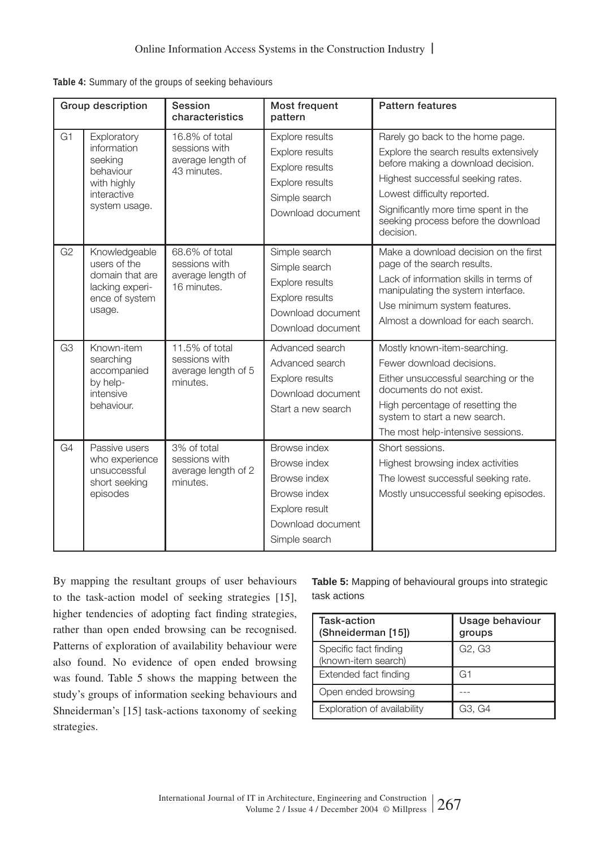| Table 4: Summary of the groups of seeking behaviours |  |  |  |  |
|------------------------------------------------------|--|--|--|--|
|------------------------------------------------------|--|--|--|--|

|                | Group description                                                                                 | Session<br>characteristics                                          | Most frequent<br>pattern                                                                                             | <b>Pattern features</b>                                                                                                                                                                                                                                                          |
|----------------|---------------------------------------------------------------------------------------------------|---------------------------------------------------------------------|----------------------------------------------------------------------------------------------------------------------|----------------------------------------------------------------------------------------------------------------------------------------------------------------------------------------------------------------------------------------------------------------------------------|
| G <sub>1</sub> | Exploratory<br>information<br>seeking<br>behaviour<br>with highly<br>interactive<br>system usage. | 16.8% of total<br>sessions with<br>average length of<br>43 minutes. | Explore results<br>Explore results<br>Explore results<br>Explore results<br>Simple search<br>Download document       | Rarely go back to the home page.<br>Explore the search results extensively<br>before making a download decision.<br>Highest successful seeking rates.<br>Lowest difficulty reported.<br>Significantly more time spent in the<br>seeking process before the download<br>decision. |
| G <sub>2</sub> | Knowledgeable<br>users of the<br>domain that are<br>lacking experi-<br>ence of system<br>usage.   | 68.6% of total<br>sessions with<br>average length of<br>16 minutes. | Simple search<br>Simple search<br>Explore results<br>Explore results<br>Download document<br>Download document       | Make a download decision on the first<br>page of the search results.<br>Lack of information skills in terms of<br>manipulating the system interface.<br>Use minimum system features.<br>Almost a download for each search.                                                       |
| G <sub>3</sub> | Known-item<br>searching<br>accompanied<br>by help-<br>intensive<br>behaviour.                     | 11.5% of total<br>sessions with<br>average length of 5<br>minutes.  | Advanced search<br>Advanced search<br>Explore results<br>Download document<br>Start a new search                     | Mostly known-item-searching.<br>Fewer download decisions.<br>Either unsuccessful searching or the<br>documents do not exist.<br>High percentage of resetting the<br>system to start a new search.<br>The most help-intensive sessions.                                           |
| G4             | Passive users<br>who experience<br>unsuccessful<br>short seeking<br>episodes                      | 3% of total<br>sessions with<br>average length of 2<br>minutes.     | Browse index<br>Browse index<br>Browse index<br>Browse index<br>Explore result<br>Download document<br>Simple search | Short sessions.<br>Highest browsing index activities<br>The lowest successful seeking rate.<br>Mostly unsuccessful seeking episodes.                                                                                                                                             |

By mapping the resultant groups of user behaviours to the task-action model of seeking strategies [15], higher tendencies of adopting fact finding strategies, rather than open ended browsing can be recognised. Patterns of exploration of availability behaviour were also found. No evidence of open ended browsing was found. Table 5 shows the mapping between the study's groups of information seeking behaviours and Shneiderman's [15] task-actions taxonomy of seeking strategies.

**Table 5:** Mapping of behavioural groups into strategic task actions

| Task-action<br>(Shneiderman [15])            | Usage behaviour<br>groups       |  |  |
|----------------------------------------------|---------------------------------|--|--|
| Specific fact finding<br>(known-item search) | G <sub>2</sub> , G <sub>3</sub> |  |  |
| Extended fact finding                        | G1                              |  |  |
| Open ended browsing                          |                                 |  |  |
| Exploration of availability                  | G3. G4                          |  |  |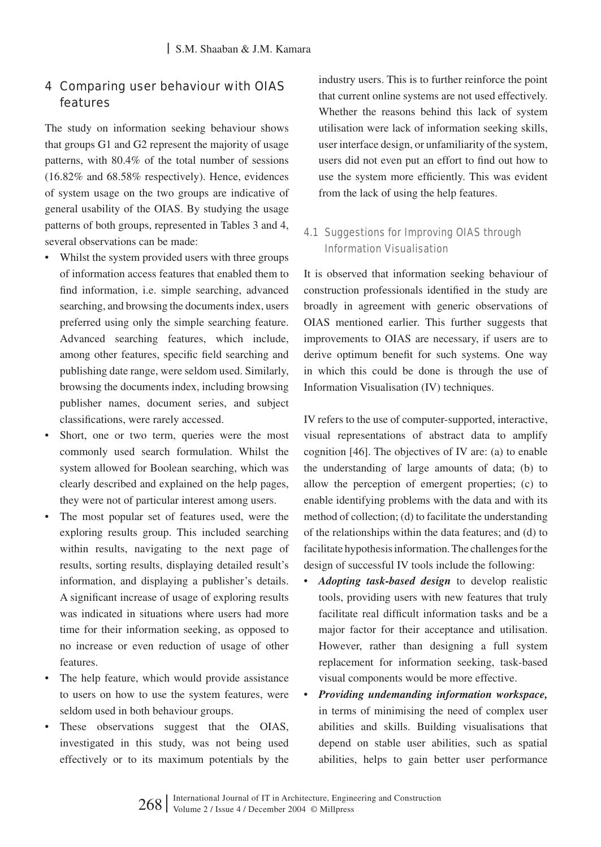# 4 Comparing user behaviour with OIAS features

The study on information seeking behaviour shows that groups G1 and G2 represent the majority of usage patterns, with 80.4% of the total number of sessions (16.82% and 68.58% respectively). Hence, evidences of system usage on the two groups are indicative of general usability of the OIAS. By studying the usage patterns of both groups, represented in Tables 3 and 4, several observations can be made:

- Whilst the system provided users with three groups of information access features that enabled them to find information, i.e. simple searching, advanced searching, and browsing the documents index, users preferred using only the simple searching feature. Advanced searching features, which include, among other features, specific field searching and publishing date range, were seldom used. Similarly, browsing the documents index, including browsing publisher names, document series, and subject classifications, were rarely accessed.
- Short, one or two term, queries were the most commonly used search formulation. Whilst the system allowed for Boolean searching, which was clearly described and explained on the help pages, they were not of particular interest among users.
- The most popular set of features used, were the exploring results group. This included searching within results, navigating to the next page of results, sorting results, displaying detailed result's information, and displaying a publisher's details. A significant increase of usage of exploring results was indicated in situations where users had more time for their information seeking, as opposed to no increase or even reduction of usage of other features.
- The help feature, which would provide assistance to users on how to use the system features, were seldom used in both behaviour groups.
- These observations suggest that the OIAS, investigated in this study, was not being used effectively or to its maximum potentials by the

industry users. This is to further reinforce the point that current online systems are not used effectively. Whether the reasons behind this lack of system utilisation were lack of information seeking skills, user interface design, or unfamiliarity of the system, users did not even put an effort to find out how to use the system more efficiently. This was evident from the lack of using the help features.

# 4.1 Suggestions for Improving OIAS through Information Visualisation

It is observed that information seeking behaviour of construction professionals identified in the study are broadly in agreement with generic observations of OIAS mentioned earlier. This further suggests that improvements to OIAS are necessary, if users are to derive optimum benefit for such systems. One way in which this could be done is through the use of Information Visualisation (IV) techniques.

IV refers to the use of computer-supported, interactive, visual representations of abstract data to amplify cognition [46]. The objectives of IV are: (a) to enable the understanding of large amounts of data; (b) to allow the perception of emergent properties; (c) to enable identifying problems with the data and with its method of collection; (d) to facilitate the understanding of the relationships within the data features; and (d) to facilitate hypothesis information. The challenges for the design of successful IV tools include the following:

- *Adopting task-based design* to develop realistic tools, providing users with new features that truly facilitate real difficult information tasks and be a major factor for their acceptance and utilisation. However, rather than designing a full system replacement for information seeking, task-based visual components would be more effective.
- *Providing undemanding information workspace,*  in terms of minimising the need of complex user abilities and skills. Building visualisations that depend on stable user abilities, such as spatial abilities, helps to gain better user performance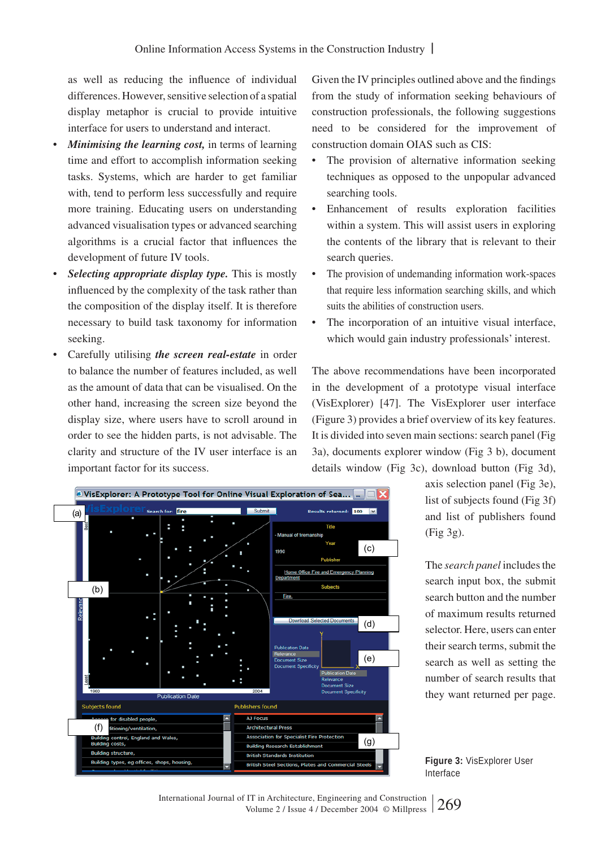as well as reducing the influence of individual differences. However, sensitive selection of a spatial display metaphor is crucial to provide intuitive interface for users to understand and interact.

- *Minimising the learning cost,* in terms of learning time and effort to accomplish information seeking tasks. Systems, which are harder to get familiar with, tend to perform less successfully and require more training. Educating users on understanding advanced visualisation types or advanced searching algorithms is a crucial factor that influences the development of future IV tools.
- *Selecting appropriate display type.* This is mostly influenced by the complexity of the task rather than the composition of the display itself. It is therefore necessary to build task taxonomy for information seeking.
- Carefully utilising *the screen real-estate* in order to balance the number of features included, as well as the amount of data that can be visualised. On the other hand, increasing the screen size beyond the display size, where users have to scroll around in order to see the hidden parts, is not advisable. The clarity and structure of the IV user interface is an important factor for its success.

B VisExplorer: A Prototype Tool for Online Visual Exploration of Sea... suits returned: <mark>100 V</mark> (a) Title Manual of fi (c) 1990 Home Office Fire and Emergency Planning (b) Fire (d) (e) **Publication Date** Subjects found **Publishers found** abled people A1 Focus (f) **ctural Press** na/\ *r*entilation on for Speci alist Fire Prote control, England and Wales (g) costs ng Research Establ ng structure th Standards Institution .<br>ilding types, eg offices, shops, housing,

Given the IV principles outlined above and the findings from the study of information seeking behaviours of construction professionals, the following suggestions need to be considered for the improvement of construction domain OIAS such as CIS:

- The provision of alternative information seeking techniques as opposed to the unpopular advanced searching tools.
- Enhancement of results exploration facilities within a system. This will assist users in exploring the contents of the library that is relevant to their search queries.
- The provision of undemanding information work-spaces that require less information searching skills, and which suits the abilities of construction users.
- The incorporation of an intuitive visual interface, which would gain industry professionals' interest.

The above recommendations have been incorporated in the development of a prototype visual interface (VisExplorer) [47]. The VisExplorer user interface (Figure 3) provides a brief overview of its key features. It is divided into seven main sections: search panel (Fig 3a), documents explorer window (Fig 3 b), document details window (Fig 3c), download button (Fig 3d),

> axis selection panel (Fig 3e), list of subjects found (Fig 3f) and list of publishers found (Fig 3g).

> The *search panel* includes the search input box, the submit search button and the number of maximum results returned selector. Here, users can enter their search terms, submit the search as well as setting the number of search results that they want returned per page.



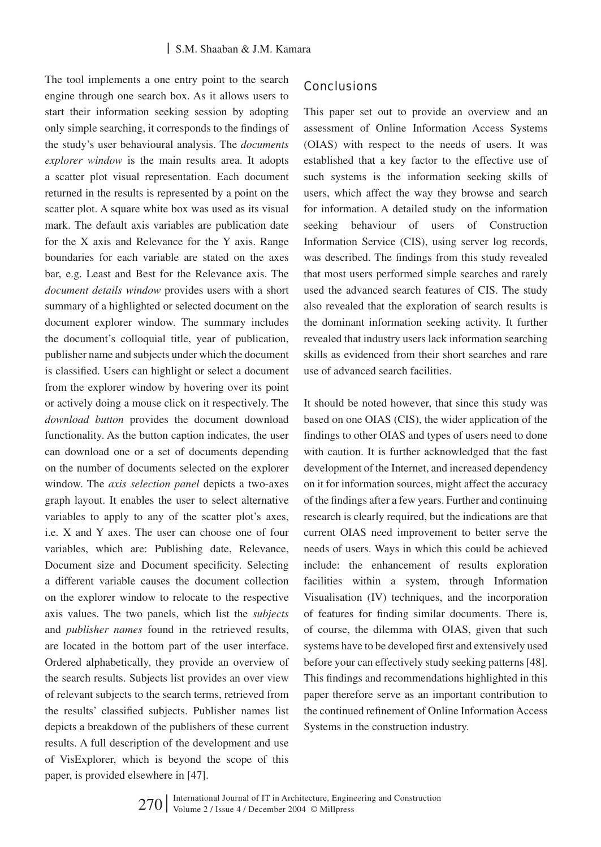The tool implements a one entry point to the search engine through one search box. As it allows users to start their information seeking session by adopting only simple searching, it corresponds to the findings of the study's user behavioural analysis. The *documents explorer window* is the main results area. It adopts a scatter plot visual representation. Each document returned in the results is represented by a point on the scatter plot. A square white box was used as its visual mark. The default axis variables are publication date for the X axis and Relevance for the Y axis. Range boundaries for each variable are stated on the axes bar, e.g. Least and Best for the Relevance axis. The *document details window* provides users with a short summary of a highlighted or selected document on the document explorer window. The summary includes the document's colloquial title, year of publication, publisher name and subjects under which the document is classified. Users can highlight or select a document from the explorer window by hovering over its point or actively doing a mouse click on it respectively. The *download button* provides the document download functionality. As the button caption indicates, the user can download one or a set of documents depending on the number of documents selected on the explorer window. The *axis selection panel* depicts a two-axes graph layout. It enables the user to select alternative variables to apply to any of the scatter plot's axes, i.e. X and Y axes. The user can choose one of four variables, which are: Publishing date, Relevance, Document size and Document specificity. Selecting a different variable causes the document collection on the explorer window to relocate to the respective axis values. The two panels, which list the *subjects*  and *publisher names* found in the retrieved results, are located in the bottom part of the user interface. Ordered alphabetically, they provide an overview of the search results. Subjects list provides an over view of relevant subjects to the search terms, retrieved from the results' classified subjects. Publisher names list depicts a breakdown of the publishers of these current results. A full description of the development and use of VisExplorer, which is beyond the scope of this paper, is provided elsewhere in [47].

#### **Conclusions**

This paper set out to provide an overview and an assessment of Online Information Access Systems (OIAS) with respect to the needs of users. It was established that a key factor to the effective use of such systems is the information seeking skills of users, which affect the way they browse and search for information. A detailed study on the information seeking behaviour of users of Construction Information Service (CIS), using server log records, was described. The findings from this study revealed that most users performed simple searches and rarely used the advanced search features of CIS. The study also revealed that the exploration of search results is the dominant information seeking activity. It further revealed that industry users lack information searching skills as evidenced from their short searches and rare use of advanced search facilities.

It should be noted however, that since this study was based on one OIAS (CIS), the wider application of the findings to other OIAS and types of users need to done with caution. It is further acknowledged that the fast development of the Internet, and increased dependency on it for information sources, might affect the accuracy of the findings after a few years. Further and continuing research is clearly required, but the indications are that current OIAS need improvement to better serve the needs of users. Ways in which this could be achieved include: the enhancement of results exploration facilities within a system, through Information Visualisation (IV) techniques, and the incorporation of features for finding similar documents. There is, of course, the dilemma with OIAS, given that such systems have to be developed first and extensively used before your can effectively study seeking patterns [48]. This findings and recommendations highlighted in this paper therefore serve as an important contribution to the continued refinement of Online Information Access Systems in the construction industry.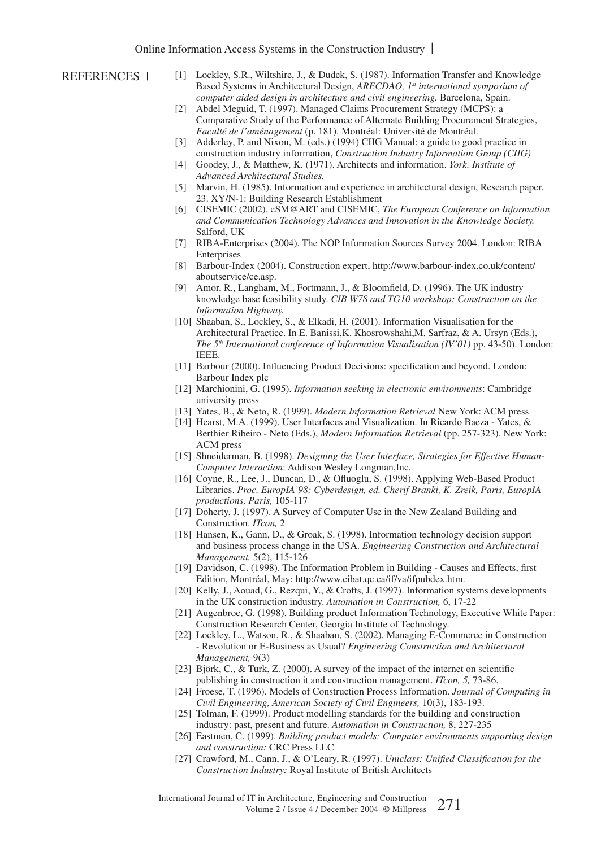- [1] Lockley, S.R., Wiltshire, J., & Dudek, S. (1987). Information Transfer and Knowledge Based Systems in Architectural Design, *ARECDAO, 1st international symposium of computer aided design in architecture and civil engineering.* Barcelona, Spain.
- [2] Abdel Meguid, T. (1997). Managed Claims Procurement Strategy (MCPS): a Comparative Study of the Performance of Alternate Building Procurement Strategies, *Faculté de l'aménagement* (p. 181). Montréal: Université de Montréal.
- [3] Adderley, P. and Nixon, M. (eds.) (1994) CIIG Manual: a guide to good practice in construction industry information, *Construction Industry Information Group (CIIG)*
- [4] Goodey, J., & Matthew, K. (1971). Architects and information. *York. Institute of Advanced Architectural Studies.*
- [5] Marvin, H. (1985). Information and experience in architectural design, Research paper. 23. XY/N-1: Building Research Establishment
- [6] CISEMIC (2002). eSM@ART and CISEMIC, *The European Conference on Information and Communication Technology Advances and Innovation in the Knowledge Society.* Salford, UK
- [7] RIBA-Enterprises (2004). The NOP Information Sources Survey 2004. London: RIBA **Enterprises**
- [8] Barbour-Index (2004). Construction expert, http://www.barbour-index.co.uk/content/ aboutservice/ce.asp.
- [9] Amor, R., Langham, M., Fortmann, J., & Bloomfield, D. (1996). The UK industry knowledge base feasibility study. *CIB W78 and TG10 workshop: Construction on the Information Highway.*
- [10] Shaaban, S., Lockley, S., & Elkadi, H. (2001). Information Visualisation for the Architectural Practice. In E. Banissi,K. Khosrowshahi,M. Sarfraz, & A. Ursyn (Eds.), *The 5th International conference of Information Visualisation (IV'01)* pp. 43-50). London: IEEE.
- [11] Barbour (2000). Influencing Product Decisions: specification and beyond. London: Barbour Index plc
- [12] Marchionini, G. (1995). *Information seeking in electronic environments*: Cambridge university press
- [13] Yates, B., & Neto, R. (1999). *Modern Information Retrieval* New York: ACM press
- [14] Hearst, M.A. (1999). User Interfaces and Visualization. In Ricardo Baeza Yates, & Berthier Ribeiro - Neto (Eds.), *Modern Information Retrieval* (pp. 257-323). New York: ACM press
- [15] Shneiderman, B. (1998). *Designing the User Interface, Strategies for Effective Human-Computer Interaction*: Addison Wesley Longman,Inc.
- [16] Coyne, R., Lee, J., Duncan, D., & Ofluoglu, S. (1998). Applying Web-Based Product Libraries. *Proc. EuropIA'98: Cyberdesign, ed. Cherif Branki, K. Zreik, Paris, EuropIA productions, Paris,* 105-117
- [17] Doherty, J. (1997). A Survey of Computer Use in the New Zealand Building and Construction. *ITcon,* 2
- [18] Hansen, K., Gann, D., & Groak, S. (1998). Information technology decision support and business process change in the USA. *Engineering Construction and Architectural Management,* 5(2), 115-126
- [19] Davidson, C. (1998). The Information Problem in Building Causes and Effects, first Edition, Montréal, May: http://www.cibat.qc.ca/if/va/ifpubdex.htm.
- [20] Kelly, J., Aouad, G., Rezqui, Y., & Crofts, J. (1997). Information systems developments in the UK construction industry. *Automation in Construction,* 6, 17-22
- [21] Augenbroe, G. (1998). Building product Information Technology, Executive White Paper: Construction Research Center, Georgia Institute of Technology.
- [22] Lockley, L., Watson, R., & Shaaban, S. (2002). Managing E-Commerce in Construction - Revolution or E-Business as Usual? *Engineering Construction and Architectural Management,* 9(3)
- [23] Björk, C., & Turk, Z. (2000). A survey of the impact of the internet on scientific publishing in construction it and construction management. *ITcon, 5,* 73-86.
- [24] Froese, T. (1996). Models of Construction Process Information. *Journal of Computing in Civil Engineering, American Society of Civil Engineers,* 10(3), 183-193.
- [25] Tolman, F. (1999). Product modelling standards for the building and construction industry: past, present and future. *Automation in Construction,* 8, 227-235
- [26] Eastmen, C. (1999). *Building product models: Computer environments supporting design and construction:* CRC Press LLC
- [27] Crawford, M., Cann, J., & O'Leary, R. (1997). *Uniclass: Unified Classification for the Construction Industry:* Royal Institute of British Architects